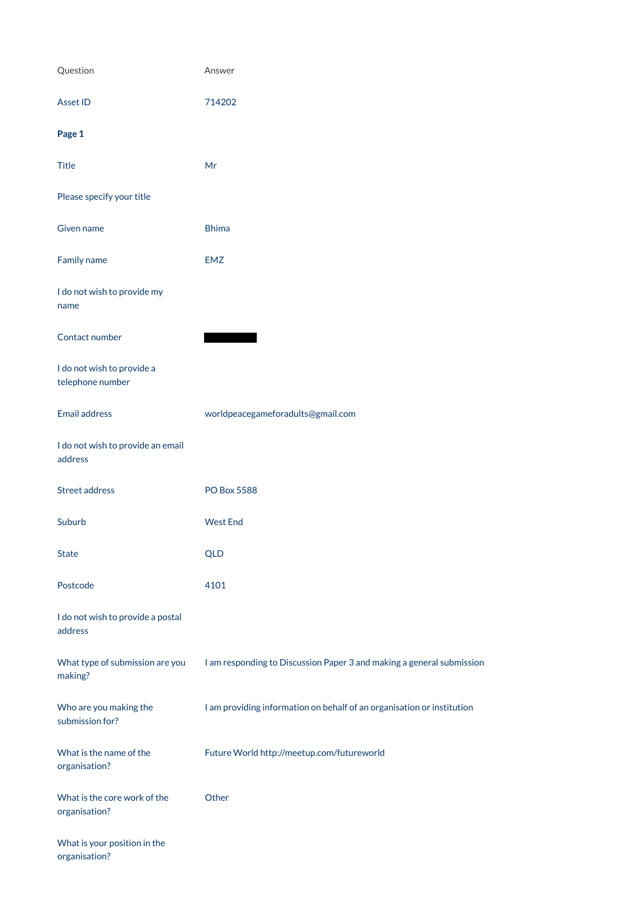| Question                                       | Answer                                                                |
|------------------------------------------------|-----------------------------------------------------------------------|
| <b>Asset ID</b>                                | 714202                                                                |
| Page 1                                         |                                                                       |
| <b>Title</b>                                   | Mr                                                                    |
| Please specify your title                      |                                                                       |
| Given name                                     | <b>Bhima</b>                                                          |
| Family name                                    | <b>EMZ</b>                                                            |
| I do not wish to provide my<br>name            |                                                                       |
| Contact number                                 |                                                                       |
| I do not wish to provide a<br>telephone number |                                                                       |
| <b>Email address</b>                           | worldpeacegameforadults@gmail.com                                     |
| I do not wish to provide an email<br>address   |                                                                       |
| <b>Street address</b>                          | <b>PO Box 5588</b>                                                    |
| Suburb                                         | <b>West End</b>                                                       |
| <b>State</b>                                   | <b>QLD</b>                                                            |
| Postcode                                       | 4101                                                                  |
| I do not wish to provide a postal<br>address   |                                                                       |
| What type of submission are you                | I am responding to Discussion Paper 3 and making a general submission |

making?

Who are you making the submission for?

I am providing information on behalf of an organisation or institution

What is the name of the organisation?

Future World http://meetup.com/futureworld

**Other** 

What is the core work of the organisation?

What is your position in the organisation?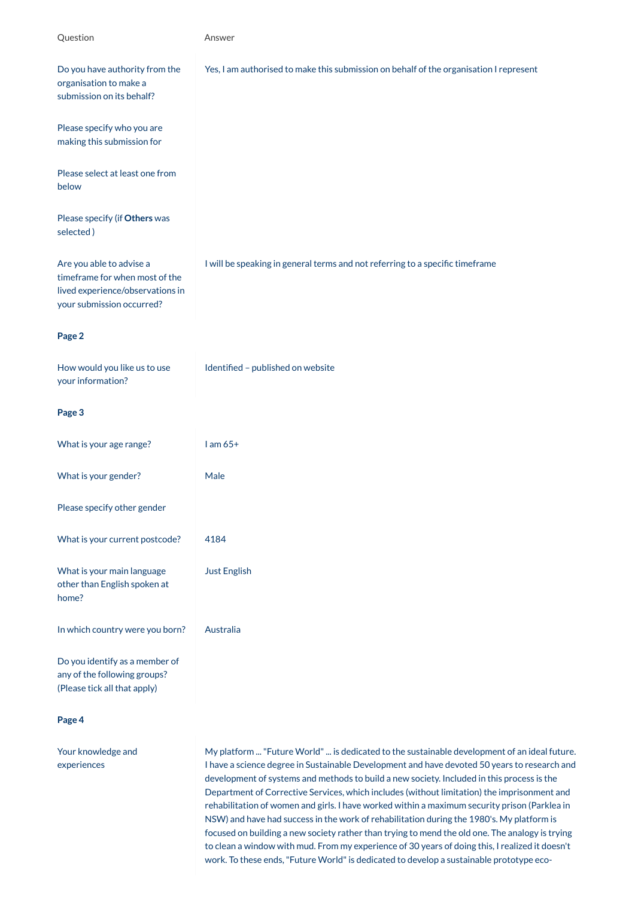| Question                                                                                                                    | Answer                                                                                 |
|-----------------------------------------------------------------------------------------------------------------------------|----------------------------------------------------------------------------------------|
| Do you have authority from the<br>organisation to make a<br>submission on its behalf?                                       | Yes, I am authorised to make this submission on behalf of the organisation I represent |
| Please specify who you are<br>making this submission for                                                                    |                                                                                        |
| Please select at least one from<br>below                                                                                    |                                                                                        |
| Please specify (if Others was<br>selected)                                                                                  |                                                                                        |
| Are you able to advise a<br>timeframe for when most of the<br>lived experience/observations in<br>your submission occurred? | I will be speaking in general terms and not referring to a specific timeframe          |
| Page 2                                                                                                                      |                                                                                        |
| How would you like us to use<br>your information?                                                                           | Identified - published on website                                                      |
| Page 3                                                                                                                      |                                                                                        |
| What is your age range?                                                                                                     | $l$ am $65+$                                                                           |
| What is your gender?                                                                                                        | Male                                                                                   |
| Please specify other gender                                                                                                 |                                                                                        |
| What is your current postcode?                                                                                              | 4184                                                                                   |
| What is your main language<br>other than English spoken at<br>home?                                                         | <b>Just English</b>                                                                    |
| In which country were you born?                                                                                             | Australia                                                                              |
| Do you identify as a member of<br>any of the following groups?                                                              |                                                                                        |

(Please tick all that apply)

**Page 4**

Your knowledge and experiences

My platform ... "Future World" ... is dedicated to the sustainable development of an ideal future. I have a science degree in Sustainable Development and have devoted 50 years to research and development of systems and methods to build a new society. Included in this process is the Department of Corrective Services, which includes (without limitation) the imprisonment and rehabilitation of women and girls. I have worked within a maximum security prison (Parklea in NSW) and have had success in the work of rehabilitation during the 1980's. My platform is focused on building a new society rather than trying to mend the old one. The analogy is trying to clean a window with mud. From my experience of 30 years of doing this, I realized it doesn't work. To these ends, "Future World" is dedicated to develop a sustainable prototype eco-